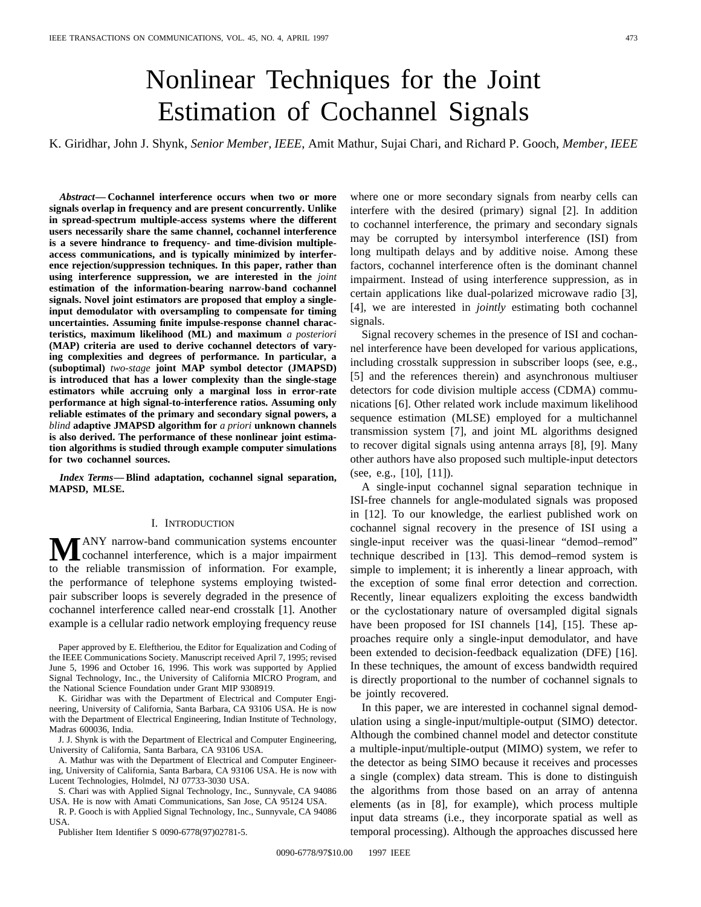# Nonlinear Techniques for the Joint Estimation of Cochannel Signals

K. Giridhar, John J. Shynk, *Senior Member, IEEE*, Amit Mathur, Sujai Chari, and Richard P. Gooch, *Member, IEEE*

*Abstract—* **Cochannel interference occurs when two or more signals overlap in frequency and are present concurrently. Unlike in spread-spectrum multiple-access systems where the different users necessarily share the same channel, cochannel interference is a severe hindrance to frequency- and time-division multipleaccess communications, and is typically minimized by interference rejection/suppression techniques. In this paper, rather than using interference suppression, we are interested in the** *joint* **estimation of the information-bearing narrow-band cochannel signals. Novel joint estimators are proposed that employ a singleinput demodulator with oversampling to compensate for timing uncertainties. Assuming finite impulse-response channel characteristics, maximum likelihood (ML) and maximum** *a posteriori* **(MAP) criteria are used to derive cochannel detectors of varying complexities and degrees of performance. In particular, a (suboptimal)** *two-stage* **joint MAP symbol detector (JMAPSD) is introduced that has a lower complexity than the single-stage estimators while accruing only a marginal loss in error-rate performance at high signal-to-interference ratios. Assuming only reliable estimates of the primary and secondary signal powers, a** *blind* **adaptive JMAPSD algorithm for** *a priori* **unknown channels is also derived. The performance of these nonlinear joint estimation algorithms is studied through example computer simulations for two cochannel sources.**

*Index Terms—***Blind adaptation, cochannel signal separation, MAPSD, MLSE.**

## I. INTRODUCTION

**M**ANY narrow-band communication systems encounter cochannel interference, which is a major impairment to the reliable transmission of information. For example, the performance of telephone systems employing twistedpair subscriber loops is severely degraded in the presence of cochannel interference called near-end crosstalk [1]. Another example is a cellular radio network employing frequency reuse

Paper approved by E. Eleftheriou, the Editor for Equalization and Coding of the IEEE Communications Society. Manuscript received April 7, 1995; revised June 5, 1996 and October 16, 1996. This work was supported by Applied Signal Technology, Inc., the University of California MICRO Program, and the National Science Foundation under Grant MIP 9308919.

K. Giridhar was with the Department of Electrical and Computer Engineering, University of California, Santa Barbara, CA 93106 USA. He is now with the Department of Electrical Engineering, Indian Institute of Technology, Madras 600036, India.

J. J. Shynk is with the Department of Electrical and Computer Engineering, University of California, Santa Barbara, CA 93106 USA.

A. Mathur was with the Department of Electrical and Computer Engineering, University of California, Santa Barbara, CA 93106 USA. He is now with Lucent Technologies, Holmdel, NJ 07733-3030 USA.

S. Chari was with Applied Signal Technology, Inc., Sunnyvale, CA 94086 USA. He is now with Amati Communications, San Jose, CA 95124 USA.

R. P. Gooch is with Applied Signal Technology, Inc., Sunnyvale, CA 94086 USA.

Publisher Item Identifier S 0090-6778(97)02781-5.

where one or more secondary signals from nearby cells can interfere with the desired (primary) signal [2]. In addition to cochannel interference, the primary and secondary signals may be corrupted by intersymbol interference (ISI) from long multipath delays and by additive noise. Among these factors, cochannel interference often is the dominant channel impairment. Instead of using interference suppression, as in certain applications like dual-polarized microwave radio [3], [4], we are interested in *jointly* estimating both cochannel signals.

Signal recovery schemes in the presence of ISI and cochannel interference have been developed for various applications, including crosstalk suppression in subscriber loops (see, e.g., [5] and the references therein) and asynchronous multiuser detectors for code division multiple access (CDMA) communications [6]. Other related work include maximum likelihood sequence estimation (MLSE) employed for a multichannel transmission system [7], and joint ML algorithms designed to recover digital signals using antenna arrays [8], [9]. Many other authors have also proposed such multiple-input detectors (see, e.g., [10], [11]).

A single-input cochannel signal separation technique in ISI-free channels for angle-modulated signals was proposed in [12]. To our knowledge, the earliest published work on cochannel signal recovery in the presence of ISI using a single-input receiver was the quasi-linear "demod–remod" technique described in [13]. This demod–remod system is simple to implement; it is inherently a linear approach, with the exception of some final error detection and correction. Recently, linear equalizers exploiting the excess bandwidth or the cyclostationary nature of oversampled digital signals have been proposed for ISI channels [14], [15]. These approaches require only a single-input demodulator, and have been extended to decision-feedback equalization (DFE) [16]. In these techniques, the amount of excess bandwidth required is directly proportional to the number of cochannel signals to be jointly recovered.

In this paper, we are interested in cochannel signal demodulation using a single-input/multiple-output (SIMO) detector. Although the combined channel model and detector constitute a multiple-input/multiple-output (MIMO) system, we refer to the detector as being SIMO because it receives and processes a single (complex) data stream. This is done to distinguish the algorithms from those based on an array of antenna elements (as in [8], for example), which process multiple input data streams (i.e., they incorporate spatial as well as temporal processing). Although the approaches discussed here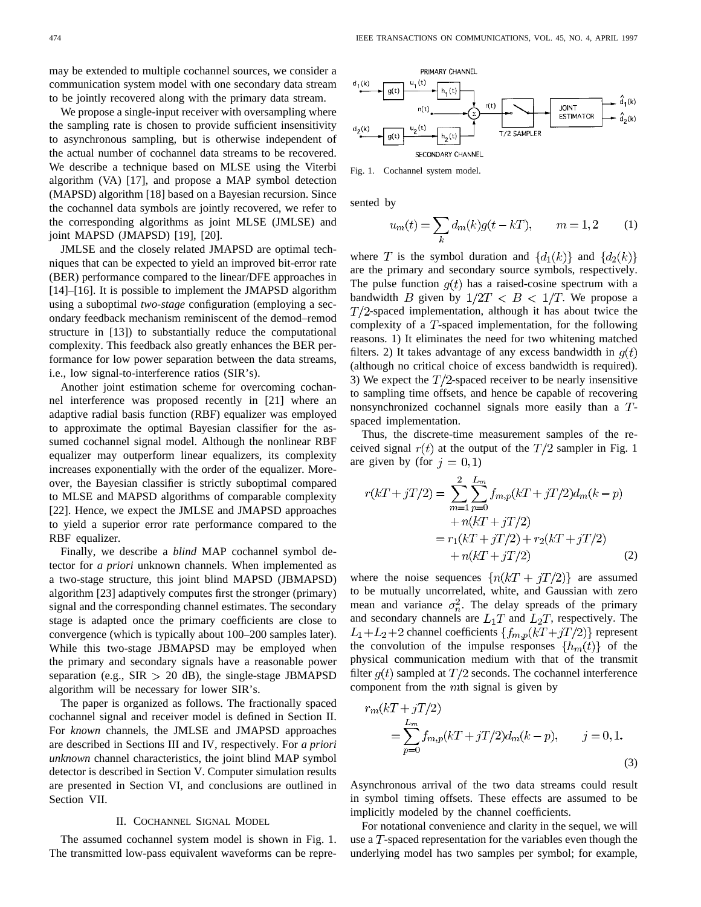may be extended to multiple cochannel sources, we consider a communication system model with one secondary data stream to be jointly recovered along with the primary data stream.

We propose a single-input receiver with oversampling where the sampling rate is chosen to provide sufficient insensitivity to asynchronous sampling, but is otherwise independent of the actual number of cochannel data streams to be recovered. We describe a technique based on MLSE using the Viterbi algorithm (VA) [17], and propose a MAP symbol detection (MAPSD) algorithm [18] based on a Bayesian recursion. Since the cochannel data symbols are jointly recovered, we refer to the corresponding algorithms as joint MLSE (JMLSE) and joint MAPSD (JMAPSD) [19], [20].

JMLSE and the closely related JMAPSD are optimal techniques that can be expected to yield an improved bit-error rate (BER) performance compared to the linear/DFE approaches in [14]–[16]. It is possible to implement the JMAPSD algorithm using a suboptimal *two-stage* configuration (employing a secondary feedback mechanism reminiscent of the demod–remod structure in [13]) to substantially reduce the computational complexity. This feedback also greatly enhances the BER performance for low power separation between the data streams, i.e., low signal-to-interference ratios (SIR's).

Another joint estimation scheme for overcoming cochannel interference was proposed recently in [21] where an adaptive radial basis function (RBF) equalizer was employed to approximate the optimal Bayesian classifier for the assumed cochannel signal model. Although the nonlinear RBF equalizer may outperform linear equalizers, its complexity increases exponentially with the order of the equalizer. Moreover, the Bayesian classifier is strictly suboptimal compared to MLSE and MAPSD algorithms of comparable complexity [22]. Hence, we expect the JMLSE and JMAPSD approaches to yield a superior error rate performance compared to the RBF equalizer.

Finally, we describe a *blind* MAP cochannel symbol detector for *a priori* unknown channels. When implemented as a two-stage structure, this joint blind MAPSD (JBMAPSD) algorithm [23] adaptively computes first the stronger (primary) signal and the corresponding channel estimates. The secondary stage is adapted once the primary coefficients are close to convergence (which is typically about 100–200 samples later). While this two-stage JBMAPSD may be employed when the primary and secondary signals have a reasonable power separation (e.g.,  $SIR > 20$  dB), the single-stage JBMAPSD algorithm will be necessary for lower SIR's.

The paper is organized as follows. The fractionally spaced cochannel signal and receiver model is defined in Section II. For *known* channels, the JMLSE and JMAPSD approaches are described in Sections III and IV, respectively. For *a priori unknown* channel characteristics, the joint blind MAP symbol detector is described in Section V. Computer simulation results are presented in Section VI, and conclusions are outlined in Section VII.

#### II. COCHANNEL SIGNAL MODEL

The assumed cochannel system model is shown in Fig. 1. The transmitted low-pass equivalent waveforms can be repre-

PRIMARY CHANNEL  $u, (t)$  $g(t)$  $h_1(t)$  $\hat{d}_{1}$ (k)  $r(t)$ **JOINT**  $n(t)$ ESTIMATOR  $\hat{d}_2(k)$  $u_2(t)$ T/2 SAMPLER  $g(t)$  $h<sub>2</sub>(t)$ SECONDARY CHANNEL

Fig. 1. Cochannel system model.

sented by

$$
u_m(t) = \sum_k d_m(k)g(t - kT), \qquad m = 1,2 \tag{1}
$$

where T is the symbol duration and  $\{d_1(k)\}\$  and  $\{d_2(k)\}\$ are the primary and secondary source symbols, respectively. The pulse function  $g(t)$  has a raised-cosine spectrum with a bandwidth B given by  $1/2T < B < 1/T$ . We propose a  $T/2$ -spaced implementation, although it has about twice the complexity of a  $T$ -spaced implementation, for the following reasons. 1) It eliminates the need for two whitening matched filters. 2) It takes advantage of any excess bandwidth in  $g(t)$ (although no critical choice of excess bandwidth is required). 3) We expect the  $T/2$ -spaced receiver to be nearly insensitive to sampling time offsets, and hence be capable of recovering nonsynchronized cochannel signals more easily than a  $T$ spaced implementation.

Thus, the discrete-time measurement samples of the received signal  $r(t)$  at the output of the  $T/2$  sampler in Fig. 1 are given by (for  $j = 0, 1$ )

$$
r(kT + jT/2) = \sum_{m=1}^{2} \sum_{p=0}^{L_m} f_{m,p}(kT + jT/2) d_m(k - p)
$$
  
+  $n(kT + jT/2)$   
=  $r_1(kT + jT/2) + r_2(kT + jT/2)$   
+  $n(kT + jT/2)$  (2)

where the noise sequences  $\{n(kT + jT/2)\}\;$  are assumed to be mutually uncorrelated, white, and Gaussian with zero mean and variance  $\sigma_n^2$ . The delay spreads of the primary and secondary channels are  $L_1T$  and  $L_2T$ , respectively. The  $L_1 + L_2 + 2$  channel coefficients  $\{f_{m,p}(kT + jT/2)\}\)$  represent the convolution of the impulse responses  $\{h_m(t)\}\$  of the physical communication medium with that of the transmit filter  $g(t)$  sampled at  $T/2$  seconds. The cochannel interference component from the  $m$ th signal is given by

$$
r_m(kT + jT/2)
$$
  
=  $\sum_{p=0}^{L_m} f_{m,p}(kT + jT/2)d_m(k - p)$ ,  $j = 0, 1$ . (3)

Asynchronous arrival of the two data streams could result in symbol timing offsets. These effects are assumed to be implicitly modeled by the channel coefficients.

For notational convenience and clarity in the sequel, we will use a  $T$ -spaced representation for the variables even though the underlying model has two samples per symbol; for example,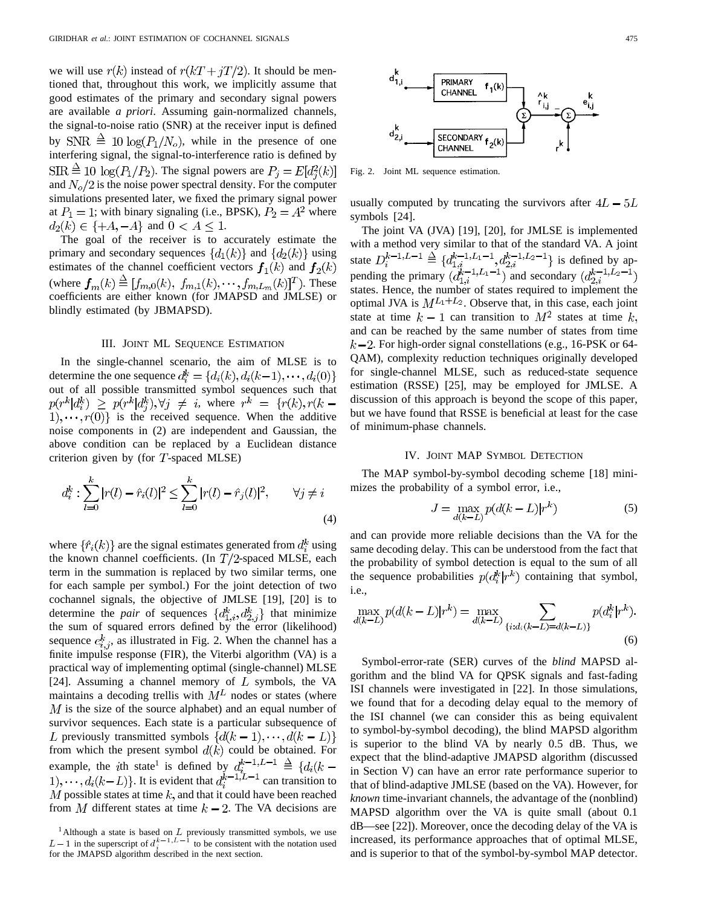we will use  $r(k)$  instead of  $r(kT+jT/2)$ . It should be mentioned that, throughout this work, we implicitly assume that good estimates of the primary and secondary signal powers are available *a priori*. Assuming gain-normalized channels, the signal-to-noise ratio (SNR) at the receiver input is defined by SNR  $\triangleq$  10 log( $P_1/N_o$ ), while in the presence of one interfering signal, the signal-to-interference ratio is defined by  $\text{SIR} \triangleq 10 \log(P_1/P_2)$ . The signal powers are  $P_j = E[d_j^2(k)]$ and  $N<sub>o</sub>/2$  is the noise power spectral density. For the computer simulations presented later, we fixed the primary signal power at  $P_1 = 1$ ; with binary signaling (i.e., BPSK),  $P_2 = A^2$  where  $d_2(k) \in \{+A, -A\}$  and  $0 < A \leq 1$ .

The goal of the receiver is to accurately estimate the primary and secondary sequences  $\{d_1(k)\}\$  and  $\{d_2(k)\}\$  using estimates of the channel coefficient vectors  $f_1(k)$  and  $f_2(k)$ (where  $f_m(k) \triangleq [f_{m,0}(k), f_{m,1}(k), \cdots, f_{m,L_m}(k)]^T$ ). These coefficients are either known (for JMAPSD and JMLSE) or blindly estimated (by JBMAPSD).

#### III. JOINT ML SEQUENCE ESTIMATION

In the single-channel scenario, the aim of MLSE is to determine the one sequence  $d_i^k = \{d_i(k), d_i(k-1), \dots, d_i(0)\}\$ out of all possible transmitted symbol sequences such that , where is the received sequence. When the additive noise components in (2) are independent and Gaussian, the above condition can be replaced by a Euclidean distance criterion given by (for  $T$ -spaced MLSE)

$$
d_i^k : \sum_{l=0}^k |r(l) - \hat{r}_i(l)|^2 \le \sum_{l=0}^k |r(l) - \hat{r}_j(l)|^2, \qquad \forall j \ne i
$$
\n(4)

where  $\{\hat{r}_i(k)\}\$ are the signal estimates generated from  $d_i^k$  using the known channel coefficients. (In  $T/2$ -spaced MLSE, each term in the summation is replaced by two similar terms, one for each sample per symbol.) For the joint detection of two cochannel signals, the objective of JMLSE [19], [20] is to determine the *pair* of sequences  $\{d_{1,i}^k, d_{2,i}^k\}$  that minimize the sum of squared errors defined by the error (likelihood) sequence  $e_{i,j}^{k}$ , as illustrated in Fig. 2. When the channel has a finite impulse response (FIR), the Viterbi algorithm (VA) is a practical way of implementing optimal (single-channel) MLSE [24]. Assuming a channel memory of  $L$  symbols, the VA maintains a decoding trellis with  $\dot{M}^L$  nodes or states (where  $M$  is the size of the source alphabet) and an equal number of survivor sequences. Each state is a particular subsequence of L previously transmitted symbols  $\{d(k-1), \dots, d(k-L)\}\$ from which the present symbol  $d(k)$  could be obtained. For example, the  $i$ th state<sup>1</sup> is defined by . It is evident that  $d_i^{k-1,L-1}$  can transition to M possible states at time  $k$ , and that it could have been reached from M different states at time  $k - 2$ . The VA decisions are



Fig. 2. Joint ML sequence estimation.

usually computed by truncating the survivors after  $4L - 5L$ symbols [24].

The joint VA (JVA) [19], [20], for JMLSE is implemented with a method very similar to that of the standard VA. A joint state  $D_i^{k-1,L-1} \equiv \{d_{1,i}^{k-1,L_1-1}, d_{2,i}^{k-1,L_2-1}\}$  is defined by appending the primary  $(d_{1,i}^{k-1},L_{1}-1)$  and secondary states. Hence, the number of states required to implement the optimal JVA is  $M^{L_1+L_2}$ . Observe that, in this case, each joint state at time  $k-1$  can transition to  $M^2$  states at time k. and can be reached by the same number of states from time  $k-2$ . For high-order signal constellations (e.g., 16-PSK or 64-QAM), complexity reduction techniques originally developed for single-channel MLSE, such as reduced-state sequence estimation (RSSE) [25], may be employed for JMLSE. A discussion of this approach is beyond the scope of this paper, but we have found that RSSE is beneficial at least for the case of minimum-phase channels.

# IV. JOINT MAP SYMBOL DETECTION

The MAP symbol-by-symbol decoding scheme [18] minimizes the probability of a symbol error, i.e.,

$$
J = \max_{d(k-L)} p(d(k-L)|r^k)
$$
 (5)

and can provide more reliable decisions than the VA for the same decoding delay. This can be understood from the fact that the probability of symbol detection is equal to the sum of all the sequence probabilities  $p(d_i^k|r^k)$  containing that symbol, i.e.,

$$
\max_{d(k-L)} p(d(k-L)|r^k) = \max_{d(k-L)} \sum_{\{i:d_i(k-L)=d(k-L)\}} p(d_i^k|r^k).
$$
\n(6)

Symbol-error-rate (SER) curves of the *blind* MAPSD algorithm and the blind VA for QPSK signals and fast-fading ISI channels were investigated in [22]. In those simulations, we found that for a decoding delay equal to the memory of the ISI channel (we can consider this as being equivalent to symbol-by-symbol decoding), the blind MAPSD algorithm is superior to the blind VA by nearly 0.5 dB. Thus, we expect that the blind-adaptive JMAPSD algorithm (discussed in Section V) can have an error rate performance superior to that of blind-adaptive JMLSE (based on the VA). However, for *known* time-invariant channels, the advantage of the (nonblind) MAPSD algorithm over the VA is quite small (about 0.1 dB—see [22]). Moreover, once the decoding delay of the VA is increased, its performance approaches that of optimal MLSE, and is superior to that of the symbol-by-symbol MAP detector.

<sup>&</sup>lt;sup>1</sup> Although a state is based on  $L$  previously transmitted symbols, we use From 1/4 different states at time  $k - 2$ . The VA decisions are<br><sup>1</sup> Although a state is based on L previously transmitted symbols, we use<br> $L-1$  in the superscript of  $d_i^{k-1}, L-1$  to be consistent with the notation used for the JMAPSD algorithm described in the next section.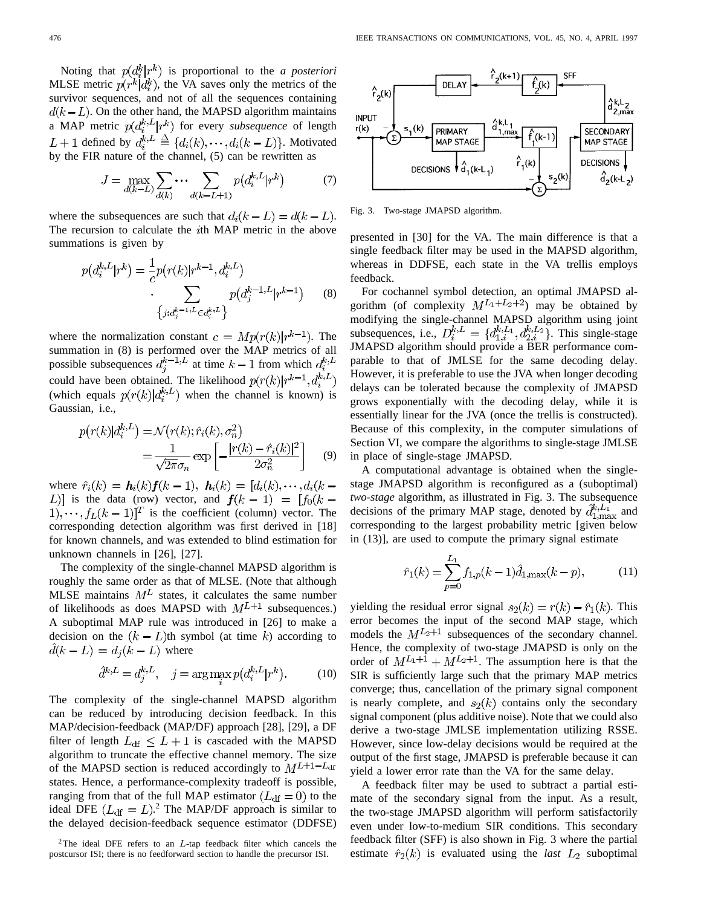Noting that  $p(d_i^k|r^k)$  is proportional to the *a posteriori* MLSE metric  $p(r^k|d_i^k)$ , the VA saves only the metrics of the survivor sequences, and not of all the sequences containing  $d(k-L)$ . On the other hand, the MAPSD algorithm maintains a MAP metric  $p(d_i^{k,L}|r^k)$  for every *subsequence* of length  $L+1$  defined by  $d_i^{k,L} \triangleq \{d_i(k), \dots, d_i(k-L)\}\$ . Motivated by the FIR nature of the channel, (5) can be rewritten as

$$
J = \max_{d(k-L)} \sum_{d(k)} \cdots \sum_{d(k-L+1)} p(d_i^{k,L}|r^k)
$$
 (7)

where the subsequences are such that  $d_i(k - L) = d(k - L)$ . The recursion to calculate the  $i$ th MAP metric in the above summations is given by

$$
p(d_i^{k,L}|r^k) = \frac{1}{c} p(r(k)|r^{k-1}, d_i^{k,L})
$$

$$
\cdot \sum_{\{j:d_j^{k-1,L} \in d_i^{k,L}\}} p(d_j^{k-1,L}|r^{k-1}) \qquad (8)
$$

where the normalization constant  $c = Mp(r(k)|r^{k-1})$ . The summation in (8) is performed over the MAP metrics of all possible subsequences  $d_i^{k-1,L}$  at time  $k-1$  from which could have been obtained. The likelihood (which equals  $p(r(k)|d_i^{k,L})$  when the channel is known) is Gaussian, i.e.,

$$
p(r(k)|d_i^{k,L}) = \mathcal{N}(r(k); \hat{r}_i(k), \sigma_n^2)
$$
  
= 
$$
\frac{1}{\sqrt{2\pi}\sigma_n} \exp\left[-\frac{|r(k) - \hat{r}_i(k)|^2}{2\sigma_n^2}\right]
$$
 (9)

where  $\hat{r}_i(k) = h_i(k) f(k-1)$ ,  $h_i(k) = [d_i(k), \dots, d_i(k-1)]$ L) is the data (row) vector, and  $f(k - 1) = [f_0(k$  $i_1, \dots, f_L(k-1)$ <sup>T</sup> is the coefficient (column) vector. The corresponding detection algorithm was first derived in [18] for known channels, and was extended to blind estimation for unknown channels in [26], [27].

The complexity of the single-channel MAPSD algorithm is roughly the same order as that of MLSE. (Note that although MLSE maintains  $M<sup>L</sup>$  states, it calculates the same number of likelihoods as does MAPSD with  $M^{L+1}$  subsequences.) A suboptimal MAP rule was introduced in [26] to make a decision on the  $(k - L)$ th symbol (at time k) according to  $d(k - L) = d<sub>i</sub>(k - L)$  where

$$
\hat{d}^{k,L} = d_j^{k,L}, \quad j = \arg\max_i p(d_i^{k,L}|r^k). \tag{10}
$$

The complexity of the single-channel MAPSD algorithm can be reduced by introducing decision feedback. In this MAP/decision-feedback (MAP/DF) approach [28], [29], a DF filter of length  $L_{\text{df}} \leq L+1$  is cascaded with the MAPSD algorithm to truncate the effective channel memory. The size of the MAPSD section is reduced accordingly to  $M^{L+1-L_{\text{df}}}$ states. Hence, a performance-complexity tradeoff is possible, ranging from that of the full MAP estimator ( $L_{\text{df}} = 0$ ) to the ideal DFE  $(L_{\text{df}} = L)^2$  The MAP/DF approach is similar to the delayed decision-feedback sequence estimator (DDFSE)



Fig. 3. Two-stage JMAPSD algorithm.

presented in [30] for the VA. The main difference is that a single feedback filter may be used in the MAPSD algorithm, whereas in DDFSE, each state in the VA trellis employs feedback.

For cochannel symbol detection, an optimal JMAPSD algorithm (of complexity  $M^{L_1+L_2+2}$ ) may be obtained by modifying the single-channel MAPSD algorithm using joint subsequences, i.e.,  $D_i^{k,L_1} = \{d_{1,i}^{k,L_1}, d_{2,i}^{k,L_2}\}$ . This single-stage JMAPSD algorithm should provide a BER performance comparable to that of JMLSE for the same decoding delay. However, it is preferable to use the JVA when longer decoding delays can be tolerated because the complexity of JMAPSD grows exponentially with the decoding delay, while it is essentially linear for the JVA (once the trellis is constructed). Because of this complexity, in the computer simulations of Section VI, we compare the algorithms to single-stage JMLSE in place of single-stage JMAPSD.

A computational advantage is obtained when the singlestage JMAPSD algorithm is reconfigured as a (suboptimal) *two-stage* algorithm, as illustrated in Fig. 3. The subsequence decisions of the primary MAP stage, denoted by  $\hat{d}_{1,\text{max}}^{k,L_1}$  and corresponding to the largest probability metric [given below in (13)], are used to compute the primary signal estimate

$$
\hat{r}_1(k) = \sum_{p=0}^{L_1} f_{1,p}(k-1)\hat{d}_{1,\max}(k-p),\tag{11}
$$

yielding the residual error signal  $s_2(k) = r(k) - \hat{r}_1(k)$ . This error becomes the input of the second MAP stage, which models the  $M^{L_2+1}$  subsequences of the secondary channel. Hence, the complexity of two-stage JMAPSD is only on the order of  $M^{L_1+1} + M^{L_2+1}$ . The assumption here is that the SIR is sufficiently large such that the primary MAP metrics converge; thus, cancellation of the primary signal component is nearly complete, and  $s_2(k)$  contains only the secondary signal component (plus additive noise). Note that we could also derive a two-stage JMLSE implementation utilizing RSSE. However, since low-delay decisions would be required at the output of the first stage, JMAPSD is preferable because it can yield a lower error rate than the VA for the same delay.

A feedback filter may be used to subtract a partial estimate of the secondary signal from the input. As a result, the two-stage JMAPSD algorithm will perform satisfactorily even under low-to-medium SIR conditions. This secondary feedback filter (SFF) is also shown in Fig. 3 where the partial estimate  $\hat{r}_2(k)$  is evaluated using the *last*  $L_2$  suboptimal

<sup>&</sup>lt;sup>2</sup>The ideal DFE refers to an  $L$ -tap feedback filter which cancels the postcursor ISI; there is no feedforward section to handle the precursor ISI.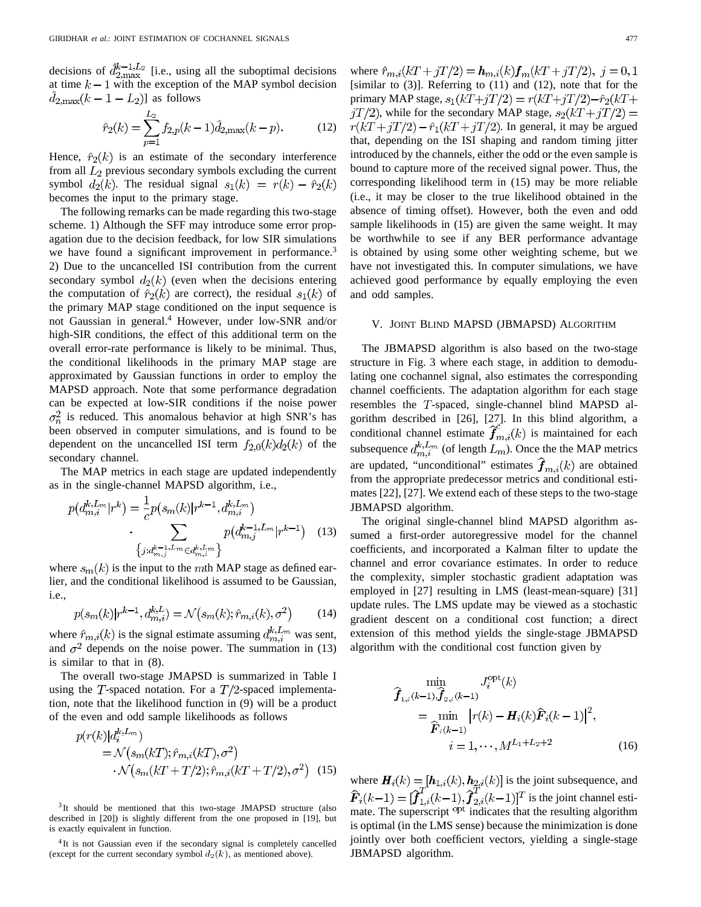decisions of  $d_{2,\text{max}}^{k-1,L_2}$  [i.e., using all the suboptimal decisions at time  $k-1$  with the exception of the MAP symbol decision  $\hat{d}_{2,\text{max}}(k-1-L_2)$ ] as follows

$$
\hat{r}_2(k) = \sum_{p=1}^{L_2} f_{2,p}(k-1)\hat{d}_{2,\max}(k-p).
$$
 (12)

Hence,  $\hat{r}_2(k)$  is an estimate of the secondary interference from all  $L_2$  previous secondary symbols excluding the current symbol  $d_2(k)$ . The residual signal  $s_1(k) = r(k) - \hat{r}_2(k)$ becomes the input to the primary stage.

The following remarks can be made regarding this two-stage scheme. 1) Although the SFF may introduce some error propagation due to the decision feedback, for low SIR simulations we have found a significant improvement in performance.<sup>3</sup> 2) Due to the uncancelled ISI contribution from the current secondary symbol  $d_2(k)$  (even when the decisions entering the computation of  $\hat{r}_2(k)$  are correct), the residual  $s_1(k)$  of the primary MAP stage conditioned on the input sequence is not Gaussian in general.<sup>4</sup> However, under low-SNR and/or high-SIR conditions, the effect of this additional term on the overall error-rate performance is likely to be minimal. Thus, the conditional likelihoods in the primary MAP stage are approximated by Gaussian functions in order to employ the MAPSD approach. Note that some performance degradation can be expected at low-SIR conditions if the noise power  $\sigma_n^2$  is reduced. This anomalous behavior at high SNR's has been observed in computer simulations, and is found to be dependent on the uncancelled ISI term  $f_{2,0}(k)d_2(k)$  of the secondary channel.

The MAP metrics in each stage are updated independently as in the single-channel MAPSD algorithm, i.e.,

$$
p(d_{m,i}^{k,L_m}|r^k) = \frac{1}{c}p(s_m(k)|r^{k-1}, d_{m,i}^{k,L_m})
$$

$$
\cdot \sum_{\{j:d_{m,j}^{k-1,L_m} \in d_{m,i}^{k,L_m}\}} p(d_{m,j}^{k-1,L_m}|r^{k-1}) \quad (13)
$$

where  $s_m(k)$  is the input to the mth MAP stage as defined earlier, and the conditional likelihood is assumed to be Gaussian, i.e.,

$$
p(s_m(k)|r^{k-1}, d_{m,i}^{k,L}) = \mathcal{N}(s_m(k); \hat{r}_{m,i}(k), \sigma^2)
$$
 (14)

where  $\hat{r}_{m,i}(k)$  is the signal estimate assuming  $d_{m,i}^{k,L_m}$  was sent, and  $\sigma^2$  depends on the noise power. The summation in (13) is similar to that in (8).

The overall two-stage JMAPSD is summarized in Table I using the T-spaced notation. For a  $T/2$ -spaced implementation, note that the likelihood function in (9) will be a product of the even and odd sample likelihoods as follows

$$
p(r(k)|d_i^{k,L_m})
$$
  
=  $\mathcal{N}(s_m(kT);\hat{r}_{m,i}(kT),\sigma^2)$   
 $\mathcal{N}(s_m(kT+T/2);\hat{r}_{m,i}(kT+T/2),\sigma^2)$  (15)

<sup>3</sup>It should be mentioned that this two-stage JMAPSD structure (also described in [20]) is slightly different from the one proposed in [19], but is exactly equivalent in function.

<sup>4</sup>It is not Gaussian even if the secondary signal is completely cancelled (except for the current secondary symbol  $d_2(k)$ , as mentioned above).

where  $\hat{r}_{m,i}(kT + jT/2) = h_{m,i}(k)f_m(kT + jT/2), j = 0, 1$ [similar to (3)]. Referring to (11) and (12), note that for the primary MAP stage,  $s_1(kT+jT/2) = r(kT+jT/2) - \hat{r}_2(kT +$  $jT/2$ , while for the secondary MAP stage,  $s_2(kT+jT/2)$  =  $r(kT+jT/2) - \hat{r}_1(kT+jT/2)$ . In general, it may be argued that, depending on the ISI shaping and random timing jitter introduced by the channels, either the odd or the even sample is bound to capture more of the received signal power. Thus, the corresponding likelihood term in (15) may be more reliable (i.e., it may be closer to the true likelihood obtained in the absence of timing offset). However, both the even and odd sample likelihoods in (15) are given the same weight. It may be worthwhile to see if any BER performance advantage is obtained by using some other weighting scheme, but we have not investigated this. In computer simulations, we have achieved good performance by equally employing the even and odd samples.

# V. JOINT BLIND MAPSD (JBMAPSD) ALGORITHM

The JBMAPSD algorithm is also based on the two-stage structure in Fig. 3 where each stage, in addition to demodulating one cochannel signal, also estimates the corresponding channel coefficients. The adaptation algorithm for each stage resembles the  $T$ -spaced, single-channel blind MAPSD algorithm described in [26], [27]. In this blind algorithm, a conditional channel estimate  $f_{m,i}(k)$  is maintained for each subsequence  $d_{m,i}^{k,L_m}$  (of length  $L_m$ ). Once the the MAP metrics are updated, "unconditional" estimates  $\widehat{\boldsymbol{f}}_{m,i}(k)$  are obtained from the appropriate predecessor metrics and conditional estimates [22], [27]. We extend each of these steps to the two-stage JBMAPSD algorithm.

The original single-channel blind MAPSD algorithm assumed a first-order autoregressive model for the channel coefficients, and incorporated a Kalman filter to update the channel and error covariance estimates. In order to reduce the complexity, simpler stochastic gradient adaptation was employed in [27] resulting in LMS (least-mean-square) [31] update rules. The LMS update may be viewed as a stochastic gradient descent on a conditional cost function; a direct extension of this method yields the single-stage JBMAPSD algorithm with the conditional cost function given by

$$
\hat{\mathbf{f}}_{1,i}(k-1), \hat{\mathbf{f}}_{2,i}(k-1)
$$
\n
$$
= \min_{\hat{\mathbf{F}}_i(k-1)} |r(k) - \mathbf{H}_i(k)\hat{\mathbf{F}}_i(k-1)|^2,
$$
\n
$$
i = 1, \cdots, M^{L_1 + L_2 + 2}
$$
\n(16)

where  $\mathbf{H}_i(k) = [\mathbf{h}_{1,i}(k), \mathbf{h}_{2,i}(k)]$  is the joint subsequence, and is the joint channel estimate. The superscript <sup>opt</sup> indicates that the resulting algorithm is optimal (in the LMS sense) because the minimization is done jointly over both coefficient vectors, yielding a single-stage JBMAPSD algorithm.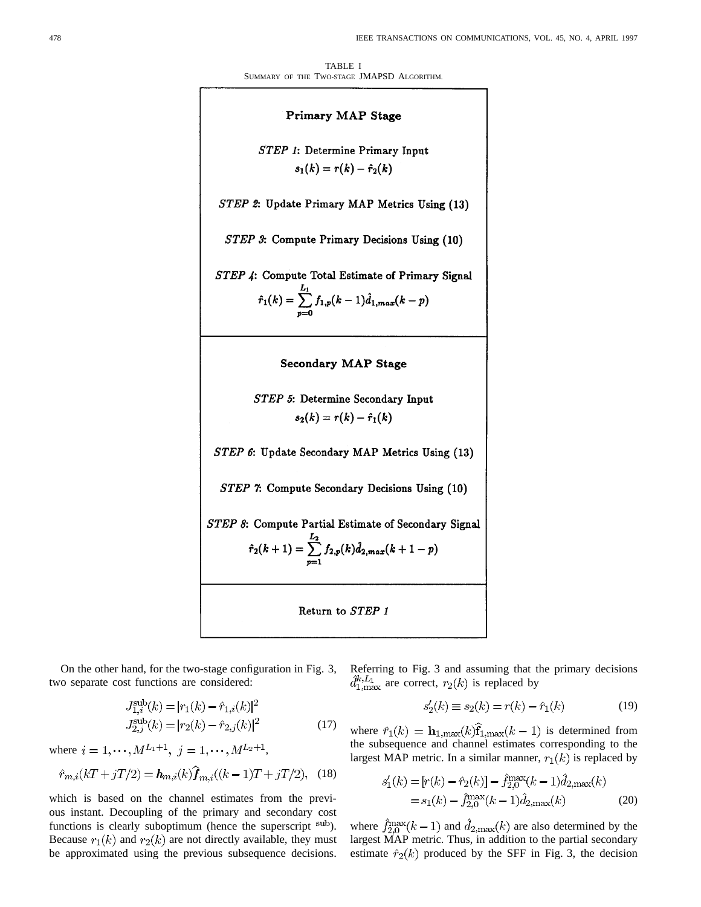

On the other hand, for the two-stage configuration in Fig. 3, two separate cost functions are considered:

$$
J_{1,i}^{\text{sub}}(k) = |r_1(k) - \hat{r}_{1,i}(k)|^2
$$
  
\n
$$
J_{2,j}^{\text{sub}}(k) = |r_2(k) - \hat{r}_{2,j}(k)|^2
$$
 (17)

where  $i = 1, \dots, M^{L_1+1}$ ,  $j = 1, \dots, M^{L_2+1}$ ,

$$
\hat{r}_{m,i}(kT + jT/2) = \mathbf{h}_{m,i}(k)\hat{\boldsymbol{f}}_{m,i}((k-1)T + jT/2), \quad (18)
$$

which is based on the channel estimates from the previous instant. Decoupling of the primary and secondary cost functions is clearly suboptimum (hence the superscript sub). Because  $r_1(k)$  and  $r_2(k)$  are not directly available, they must be approximated using the previous subsequence decisions.

Referring to Fig. 3 and assuming that the primary decisions  $\hat{d}_{1,\text{max}}^{k,L_1}$  are correct,  $r_2(k)$  is replaced by

$$
s'_2(k) \equiv s_2(k) = r(k) - \hat{r}_1(k)
$$
 (19)

where  $\hat{r}_1(k) = \mathbf{h}_{1,\text{max}}(k)\hat{f}_{1,\text{max}}(k-1)$  is determined from the subsequence and channel estimates corresponding to the largest MAP metric. In a similar manner,  $r_1(k)$  is replaced by

$$
s'_1(k) = [r(k) - \hat{r}_2(k)] - \hat{f}_{2,0}^{\text{max}}(k-1)\hat{d}_{2,\text{max}}(k)
$$
  
=  $s_1(k) - \hat{f}_{2,0}^{\text{max}}(k-1)\hat{d}_{2,\text{max}}(k)$  (20)

where  $\hat{f}_{2,0}^{\max}(k-1)$  and  $\hat{d}_{2,\max}(k)$  are also determined by the largest MAP metric. Thus, in addition to the partial secondary estimate  $\hat{r}_2(k)$  produced by the SFF in Fig. 3, the decision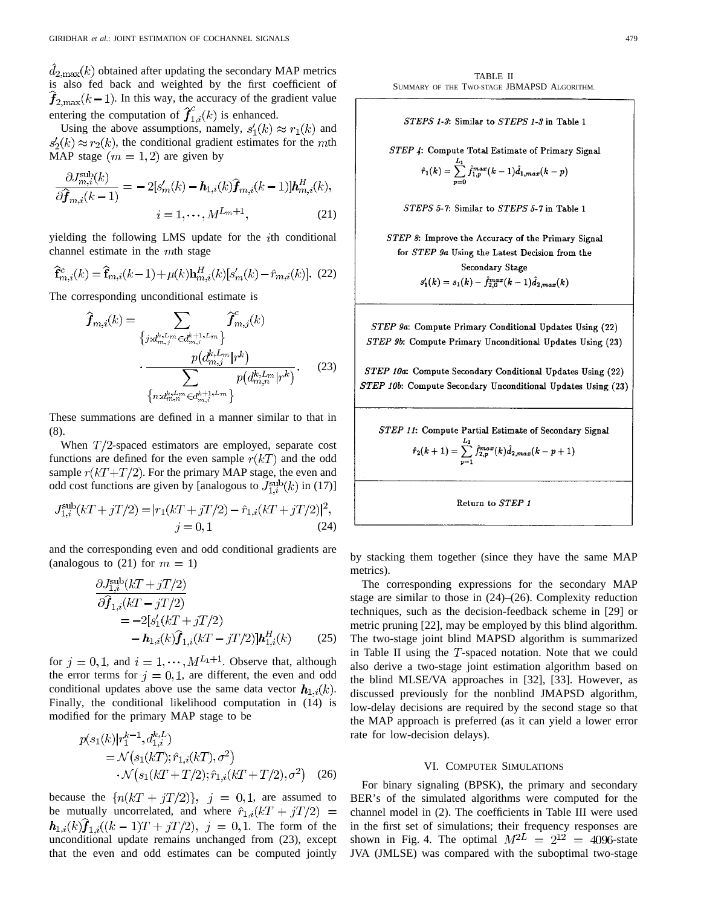$d_{2,\text{max}}(k)$  obtained after updating the secondary MAP metrics is also fed back and weighted by the first coefficient of  $f_{2,\text{max}}(k-1)$ . In this way, the accuracy of the gradient value entering the computation of  $\hat{\mathbf{f}}_{1,i}^{c}(k)$  is enhanced.

Using the above assumptions, namely,  $s'_1(k) \approx r_1(k)$  and  $s'_2(k) \approx r_2(k)$ , the conditional gradient estimates for the mth MAP stage  $(m = 1, 2)$  are given by

$$
\frac{\partial J_{m,i}^{\text{sub}}(k)}{\partial \hat{\mathbf{f}}_{m,i}(k-1)} = -2[s_m'(k) - \mathbf{h}_{1,i}(k)\hat{\mathbf{f}}_{m,i}(k-1)]\mathbf{h}_{m,i}^H(k),
$$
  

$$
i = 1, \cdots, M^{L_m+1},
$$
 (21)

yielding the following LMS update for the  $i$ th conditional channel estimate in the  $m$ th stage

$$
\hat{\mathbf{f}}_{m,i}^{c}(k) = \hat{\mathbf{f}}_{m,i}(k-1) + \mu(k)\mathbf{h}_{m,i}^{H}(k)[s_{m}'(k) - \hat{r}_{m,i}(k)]. \tag{22}
$$

The corresponding unconditional estimate is

$$
\hat{f}_{m,i}(k) = \sum_{\substack{\{j:d_{m,j}^{k,L_m} \in d_{m,i}^{k+1,L_m}\} \\ \cdot \sum_{\substack{p \mid (d_{m,j}^{k,L_m} | r^k) \\ \cdot \sum_{\substack{m,d_{m,m}^{k,L_m} \in d_{m,i}^{k+1,L_m}\} \\ \cdot \sum_{\substack{p \mid (d_{m,n}^{k,L_m} | r^k) \\ \cdot \sum_{\substack{m \mid (d_{m,n}^{k,L_m} | r^k) \\ \cdot \sum_{\substack{m \mid (d_{m,n}^{k,L_m} | r^k) \\ \cdot \sum_{\substack{m \mid (d_{m,n}^{k,L_m} | r^k) \\ \cdot \sum_{\substack{m \mid (d_{m,n}^{k,L_m} | r^k) \\ \cdot \sum_{\substack{m \mid (d_{m,n}^{k,L_m} | r^k) \\ \cdot \sum_{\substack{m \mid (d_{m,n}^{k,L_m} | r^k) \\ \cdot \sum_{\substack{m \mid (d_{m,n}^{k,L_m} | r^k) \\ \cdot \sum_{\substack{m \mid (d_{m,n}^{k,L_m} | r^k) \\ \cdot \sum_{\substack{m \mid (d_{m,n}^{k,L_m} | r^k) \\ \cdot \sum_{\substack{m \mid (d_{m,n}^{k,L_m} | r^k) \\ \cdot \sum_{\substack{m \mid (d_{m,n}^{k,L_m} | r^k) \\ \cdot \sum_{\substack{m \mid (d_{m,n}^{k,L_m} | r^k) \\ \cdot \sum_{\substack{m \mid (d_{m,n}^{k,L_m} | r^k) \\ \cdot \sum_{\substack{m \mid (d_{m,n}^{k,L_m} | r^k) \\ \cdot \sum_{\substack{m \mid (d_{m,n}^{k,L_m} | r^k) \\ \cdot \sum_{\substack{m \mid (d_{m,n}^{k,L_m} | r^k) \\ \cdot \sum_{\substack{m \mid (d_{m,n}^{k,L_m} | r^k) \\ \cdot \sum_{\substack{m \mid (d_{m,n}^{k,L_m} | r^k) \\ \cdot \sum_{\substack{m \mid (d_{m,n}^{k,L_m} | r^k) \\ \cdot \sum_{\substack{m \mid (d_{m,n}^{k,L_m} | r^k) \\ \cdot \sum_{\substack{m \mid (d_{m,n}^{k,L_m} | r^k) \\ \cdot \sum_{\substack{m \
$$

These summations are defined in a manner similar to that in (8).

When  $T/2$ -spaced estimators are employed, separate cost functions are defined for the even sample  $r(kT)$  and the odd sample  $r(kT+T/2)$ . For the primary MAP stage, the even and odd cost functions are given by [analogous to  $J_{1,i}^{\text{sub}}(k)$  in (17)]

$$
J_{1,i}^{\text{sub}}(kT + jT/2) = |r_1(kT + jT/2) - \hat{r}_{1,i}(kT + jT/2)|^2,
$$
  
\n
$$
j = 0, 1
$$
 (24)

and the corresponding even and odd conditional gradients are (analogous to (21) for  $m = 1$ )

$$
\frac{\partial J_{1,i}^{\text{sub}}(kT + jT/2)}{\partial \hat{f}_{1,i}(kT - jT/2)} \n= -2[s_1'(kT + jT/2) \n- h_{1,i}(k)\hat{f}_{1,i}(kT - jT/2)]h_{1,i}^H(k)
$$
\n(25)

for  $j = 0, 1$ , and  $i = 1, \dots, M^{L_1+1}$ . Observe that, although the error terms for  $j = 0, 1$ , are different, the even and odd conditional updates above use the same data vector  $h_{1,i}(k)$ . Finally, the conditional likelihood computation in (14) is modified for the primary MAP stage to be

$$
p(s_1(k)|r_1^{k-1}, d_{1,i}^{k,L})
$$
  
=  $\mathcal{N}(s_1(kT); \hat{r}_{1,i}(kT), \sigma^2)$   
 $\mathcal{N}(s_1(kT+T/2); \hat{r}_{1,i}(kT+T/2), \sigma^2)$  (26)

because the  $\{n(kT + jT/2)\}, \ j = 0, 1$ , are assumed to be mutually uncorrelated, and where  $\hat{r}_{1,i}(kT + jT/2)$  =  $h_{1,i}(k)\hat{f}_{1,i}((k-1)T+jT/2), j = 0,1$ . The form of the unconditional update remains unchanged from (23), except that the even and odd estimates can be computed jointly

TABLE II SUMMARY OF THE TWO-STAGE JBMAPSD ALGORITHM.

| STEPS 1-3: Similar to STEPS 1-3 in Table 1                                                                                                |
|-------------------------------------------------------------------------------------------------------------------------------------------|
| STEP 4: Compute Total Estimate of Primary Signal                                                                                          |
| $\hat{r}_1(k) = \sum_{n=1}^{L_1} \hat{f}_{1,p}^{max}(k-1)\hat{d}_{1,max}(k-p)$                                                            |
| STEPS 5-7. Similar to STEPS 5-7 in Table 1                                                                                                |
| STEP 8: Improve the Accuracy of the Primary Signal                                                                                        |
| for <i>STEP</i> 9a Using the Latest Decision from the                                                                                     |
| Secondary Stage                                                                                                                           |
| $s'_1(k) = s_1(k) - \hat{f}_{2,0}^{max}(k-1)\hat{d}_{2,max}(k)$                                                                           |
| STEP 9a: Compute Primary Conditional Updates Using (22)                                                                                   |
| STEP 9b: Compute Primary Unconditional Updates Using (23)                                                                                 |
| <i>STEP 10a</i> : Compute Secondary Conditional Updates Using (22)                                                                        |
| STEP 10b: Compute Secondary Unconditional Updates Using (23                                                                               |
| STEP 11: Compute Partial Estimate of Secondary Signal<br>$\hat{r}_2(k+1) = \sum_{n=1}^{L_2} \hat{f}_{2,p}^{max}(k)\hat{d}_{2,max}(k-p+1)$ |
| Roturn to STEP                                                                                                                            |

by stacking them together (since they have the same MAP metrics).

The corresponding expressions for the secondary MAP stage are similar to those in (24)–(26). Complexity reduction techniques, such as the decision-feedback scheme in [29] or metric pruning [22], may be employed by this blind algorithm. The two-stage joint blind MAPSD algorithm is summarized in Table II using the  $T$ -spaced notation. Note that we could also derive a two-stage joint estimation algorithm based on the blind MLSE/VA approaches in [32], [33]. However, as discussed previously for the nonblind JMAPSD algorithm, low-delay decisions are required by the second stage so that the MAP approach is preferred (as it can yield a lower error rate for low-decision delays).

## VI. COMPUTER SIMULATIONS

For binary signaling (BPSK), the primary and secondary BER's of the simulated algorithms were computed for the channel model in (2). The coefficients in Table III were used in the first set of simulations; their frequency responses are shown in Fig. 4. The optimal  $M^{2L} = 2^{12} = 4096$ -state JVA (JMLSE) was compared with the suboptimal two-stage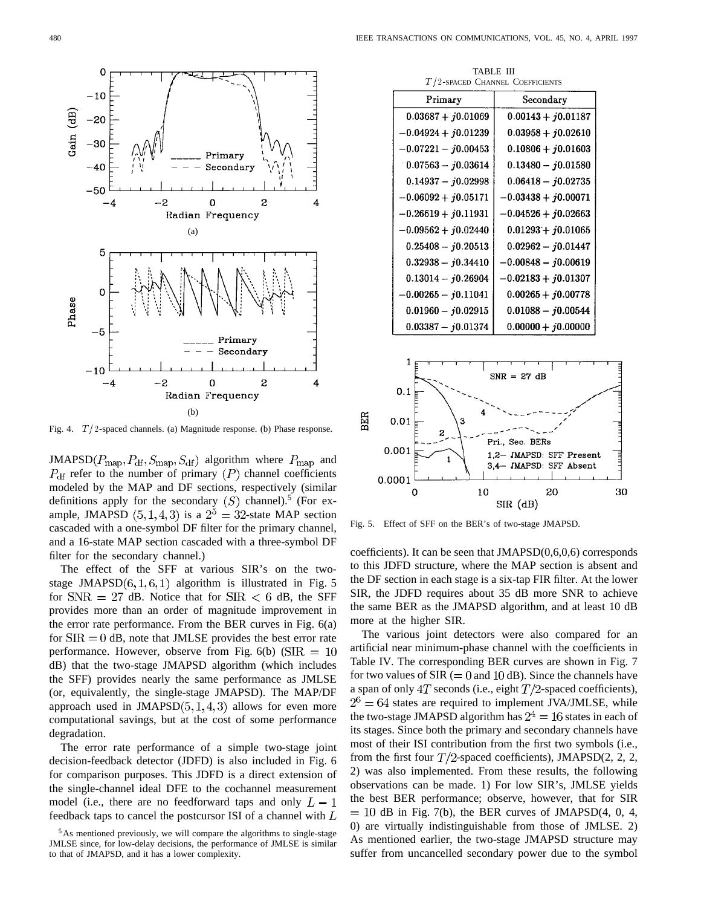

Fig. 4.  $T/2$ -spaced channels. (a) Magnitude response. (b) Phase response.

JMAPSD( $P_{\text{map}}$ ,  $P_{\text{df}}$ ,  $S_{\text{map}}$ ,  $S_{\text{df}}$ ) algorithm where  $P_{\text{map}}$  and  $P_{\text{df}}$  refer to the number of primary (P) channel coefficients modeled by the MAP and DF sections, respectively (similar definitions apply for the secondary  $(S)$  channel).<sup>5</sup> (For example, JMAPSD  $(5,1,4,3)$  is a  $2^5 = 32$ -state MAP section cascaded with a one-symbol DF filter for the primary channel, and a 16-state MAP section cascaded with a three-symbol DF filter for the secondary channel.)

The effect of the SFF at various SIR's on the twostage JMAPSD $(6, 1, 6, 1)$  algorithm is illustrated in Fig. 5 for  $SNR = 27$  dB. Notice that for  $SIR < 6$  dB, the SFF provides more than an order of magnitude improvement in the error rate performance. From the BER curves in Fig. 6(a) for  $SIR = 0$  dB, note that JMLSE provides the best error rate performance. However, observe from Fig.  $6(b)$  (SIR = 10) dB) that the two-stage JMAPSD algorithm (which includes the SFF) provides nearly the same performance as JMLSE (or, equivalently, the single-stage JMAPSD). The MAP/DF approach used in JMAPSD $(5, 1, 4, 3)$  allows for even more computational savings, but at the cost of some performance degradation.

The error rate performance of a simple two-stage joint decision-feedback detector (JDFD) is also included in Fig. 6 for comparison purposes. This JDFD is a direct extension of the single-channel ideal DFE to the cochannel measurement model (i.e., there are no feedforward taps and only  $L - 1$ feedback taps to cancel the postcursor ISI of a channel with  $L$ 

TABLE III  $T/2$ -SPACED CHANNEL COEFFICIENTS

|                          | 1/2-SPACED CHAINNEL COEFFICIENTS                    |
|--------------------------|-----------------------------------------------------|
| Primary                  | Secondary                                           |
| $0.03687 + j0.01069$     | $0.00143 + j0.01187$                                |
| $-0.04924 + j0.01239$    | $0.03958 + j0.02610$                                |
| $-0.07221 - j0.00453$    | $0.10806 + j0.01603$                                |
| $10.07563 - j0.03614$    | $0.13480 - j0.01580$                                |
| $0.14937 - j0.02998$     | $0.06418 - j0.02735$                                |
| $-0.06092 + j0.05171$    | $-0.03438 + j0.00071$                               |
| $-0.26619 + j0.11931$    | $-0.04526 + j0.02663$                               |
| $-0.09562 + j0.02440$    | $0.01293 + j0.01065$                                |
| $0.25408 - j0.20513$     | $0.02962 - j0.01447$                                |
| $0.32938 - j0.34410$     | $-0.00848 - j0.00619$                               |
| $0.13014 - j0.26904$     | $-0.02183 + j0.01307$                               |
| $0.00265 - j0.11041$     | $0.00265 + j0.00778$                                |
| $0.01960 - j0.02915$     | $0.01088 - j0.00544$                                |
| $0.03387 - j0.01374$     | $0.00000 + j0.00000$                                |
| 1                        |                                                     |
|                          | $SNR = 27 dB$                                       |
| 0.1                      |                                                     |
| 4                        |                                                     |
| 0.01<br>3<br>2           |                                                     |
| Pri., Sec. BERs<br>0.001 |                                                     |
| $\mathbf{1}$             | 1.2- JMAPSD: SFF Present<br>3,4- JMAPSD: SFF Absent |
| 0.0001                   |                                                     |

Fig. 5. Effect of SFF on the BER's of two-stage JMAPSD.

10

 $SIR$  (dB)

20

0

**BER** 

coefficients). It can be seen that  $JMAPSD(0,6,0,6)$  corresponds to this JDFD structure, where the MAP section is absent and the DF section in each stage is a six-tap FIR filter. At the lower SIR, the JDFD requires about 35 dB more SNR to achieve the same BER as the JMAPSD algorithm, and at least 10 dB more at the higher SIR.

30

The various joint detectors were also compared for an artificial near minimum-phase channel with the coefficients in Table IV. The corresponding BER curves are shown in Fig. 7 for two values of  $SIR (= 0$  and 10 dB). Since the channels have a span of only  $4T$  seconds (i.e., eight  $T/2$ -spaced coefficients),  $2^6 = 64$  states are required to implement JVA/JMLSE, while the two-stage JMAPSD algorithm has  $2^4 = 16$  states in each of its stages. Since both the primary and secondary channels have most of their ISI contribution from the first two symbols (i.e., from the first four  $T/2$ -spaced coefficients), JMAPSD(2, 2, 2, 2) was also implemented. From these results, the following observations can be made. 1) For low SIR's, JMLSE yields the best BER performance; observe, however, that for SIR  $=$  10 dB in Fig. 7(b), the BER curves of JMAPSD(4, 0, 4, 0) are virtually indistinguishable from those of JMLSE. 2) As mentioned earlier, the two-stage JMAPSD structure may suffer from uncancelled secondary power due to the symbol

<sup>5</sup>As mentioned previously, we will compare the algorithms to single-stage JMLSE since, for low-delay decisions, the performance of JMLSE is similar to that of JMAPSD, and it has a lower complexity.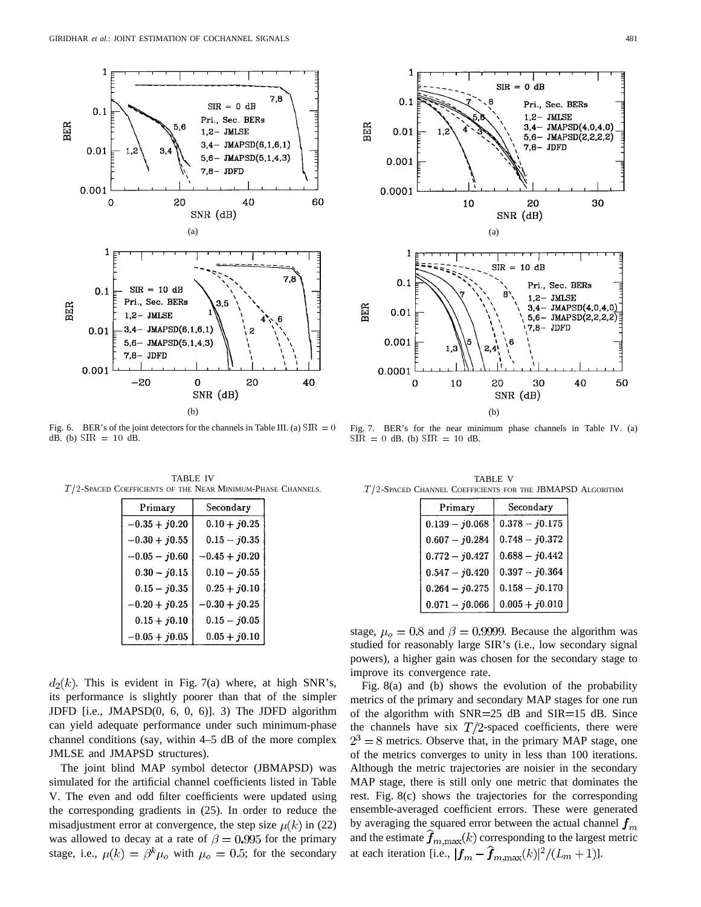

Fig. 6. BER's of the joint detectors for the channels in Table III. (a)  $\text{SIR} = 0$ dB. (b)  $SIR = 10$  dB.

TABLE IV  $T/2$ -Spaced Coefficients of the Near Minimum-Phase Channels.

| Primary         | Secondary       |
|-----------------|-----------------|
| $-0.35 + j0.20$ | $0.10 + j0.25$  |
| $-0.30 + j0.55$ | $0.15 - j0.35$  |
| $-0.05 - j0.60$ | $-0.45 + j0.20$ |
| $0.30 - j0.15$  | $0.10 - j0.55$  |
| $0.15 - j0.35$  | $0.25 + j0.10$  |
| $-0.20 + j0.25$ | $-0.30 + j0.25$ |
| $0.15 + j0.10$  | $0.15 - j0.05$  |
| $-0.05 + j0.05$ | $0.05 + j0.10$  |
|                 |                 |

 $d_2(k)$ . This is evident in Fig. 7(a) where, at high SNR's, its performance is slightly poorer than that of the simpler JDFD [i.e., JMAPSD(0, 6, 0, 6)]. 3) The JDFD algorithm can yield adequate performance under such minimum-phase channel conditions (say, within 4–5 dB of the more complex JMLSE and JMAPSD structures).

The joint blind MAP symbol detector (JBMAPSD) was simulated for the artificial channel coefficients listed in Table V. The even and odd filter coefficients were updated using the corresponding gradients in (25). In order to reduce the misadjustment error at convergence, the step size  $\mu(k)$  in (22) was allowed to decay at a rate of  $\beta = 0.995$  for the primary stage, i.e.,  $\mu(k) = \beta^k \mu_0$  with  $\mu_0 = 0.5$ ; for the secondary



Fig. 7. BER's for the near minimum phase channels in Table IV. (a)  $\text{SIR} = 0$  dB. (b)  $\text{SIR} = 10$  dB.

TABLE V  $T/2$ -SPACED CHANNEL COEFFICIENTS FOR THE JBMAPSD ALGORITHM

| Primary          | Secondary        |
|------------------|------------------|
| $0.139 - j0.068$ | $0.378 - j0.175$ |
| $0.607 - j0.284$ | $0.748 - j0.372$ |
| $0.772 - j0.427$ | $0.688 - j0.442$ |
| $0.547 - j0.420$ | $0.397 - j0.364$ |
| $0.264 - j0.275$ | $0.158 - j0.170$ |
| $0.071 - j0.066$ | $0.005 + j0.010$ |

stage,  $\mu_o = 0.8$  and  $\beta = 0.9999$ . Because the algorithm was studied for reasonably large SIR's (i.e., low secondary signal powers), a higher gain was chosen for the secondary stage to improve its convergence rate.

Fig. 8(a) and (b) shows the evolution of the probability metrics of the primary and secondary MAP stages for one run of the algorithm with  $SNR = 25$  dB and  $SIR = 15$  dB. Since the channels have six  $T/2$ -spaced coefficients, there were  $2<sup>3</sup> = 8$  metrics. Observe that, in the primary MAP stage, one of the metrics converges to unity in less than 100 iterations. Although the metric trajectories are noisier in the secondary MAP stage, there is still only one metric that dominates the rest. Fig. 8(c) shows the trajectories for the corresponding ensemble-averaged coefficient errors. These were generated by averaging the squared error between the actual channel  $f_m$ and the estimate  $f_{m,\mathrm{max}}(k)$  corresponding to the largest metric at each iteration [i.e.,  $|\mathbf{f}_m - \mathbf{\hat{f}}_{m,\text{max}}(k)|^2/(L_m+1)$ ].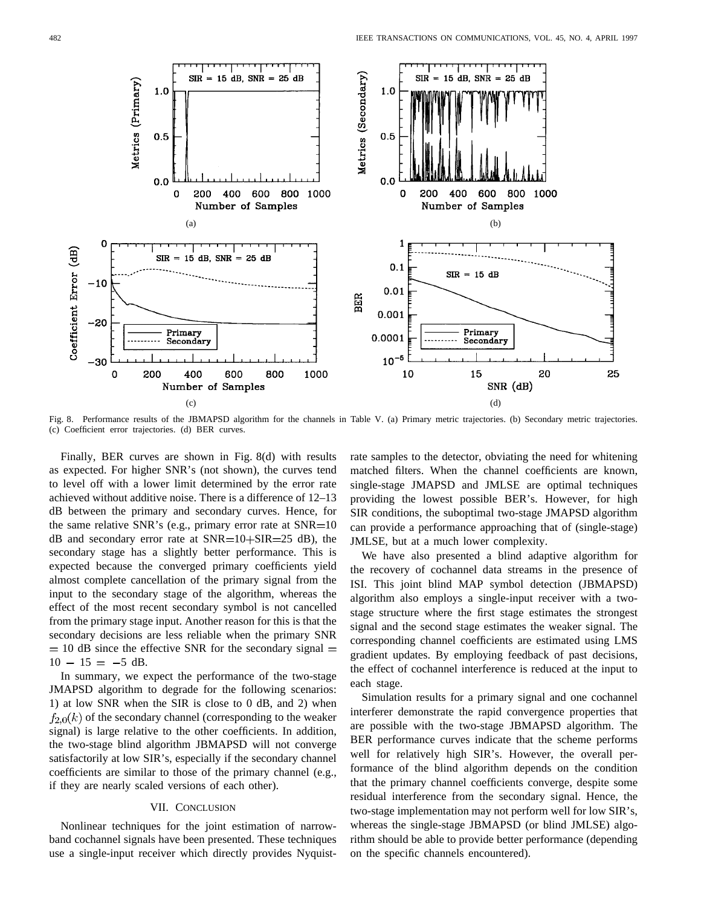

Fig. 8. Performance results of the JBMAPSD algorithm for the channels in Table V. (a) Primary metric trajectories. (b) Secondary metric trajectories. (c) Coefficient error trajectories. (d) BER curves.

Finally, BER curves are shown in Fig. 8(d) with results as expected. For higher SNR's (not shown), the curves tend to level off with a lower limit determined by the error rate achieved without additive noise. There is a difference of 12–13 dB between the primary and secondary curves. Hence, for the same relative SNR's (e.g., primary error rate at  $SNR = 10$ dB and secondary error rate at  $SNR = 10 + SIR = 25$  dB), the secondary stage has a slightly better performance. This is expected because the converged primary coefficients yield almost complete cancellation of the primary signal from the input to the secondary stage of the algorithm, whereas the effect of the most recent secondary symbol is not cancelled from the primary stage input. Another reason for this is that the secondary decisions are less reliable when the primary SNR  $=$  10 dB since the effective SNR for the secondary signal  $=$  $10 - 15 = -5$  dB.

In summary, we expect the performance of the two-stage JMAPSD algorithm to degrade for the following scenarios: 1) at low SNR when the SIR is close to 0 dB, and 2) when  $f_{2,0}(k)$  of the secondary channel (corresponding to the weaker signal) is large relative to the other coefficients. In addition, the two-stage blind algorithm JBMAPSD will not converge satisfactorily at low SIR's, especially if the secondary channel coefficients are similar to those of the primary channel (e.g., if they are nearly scaled versions of each other).

# VII. CONCLUSION

Nonlinear techniques for the joint estimation of narrowband cochannel signals have been presented. These techniques use a single-input receiver which directly provides Nyquistrate samples to the detector, obviating the need for whitening matched filters. When the channel coefficients are known, single-stage JMAPSD and JMLSE are optimal techniques providing the lowest possible BER's. However, for high SIR conditions, the suboptimal two-stage JMAPSD algorithm can provide a performance approaching that of (single-stage) JMLSE, but at a much lower complexity.

We have also presented a blind adaptive algorithm for the recovery of cochannel data streams in the presence of ISI. This joint blind MAP symbol detection (JBMAPSD) algorithm also employs a single-input receiver with a twostage structure where the first stage estimates the strongest signal and the second stage estimates the weaker signal. The corresponding channel coefficients are estimated using LMS gradient updates. By employing feedback of past decisions, the effect of cochannel interference is reduced at the input to each stage.

Simulation results for a primary signal and one cochannel interferer demonstrate the rapid convergence properties that are possible with the two-stage JBMAPSD algorithm. The BER performance curves indicate that the scheme performs well for relatively high SIR's. However, the overall performance of the blind algorithm depends on the condition that the primary channel coefficients converge, despite some residual interference from the secondary signal. Hence, the two-stage implementation may not perform well for low SIR's, whereas the single-stage JBMAPSD (or blind JMLSE) algorithm should be able to provide better performance (depending on the specific channels encountered).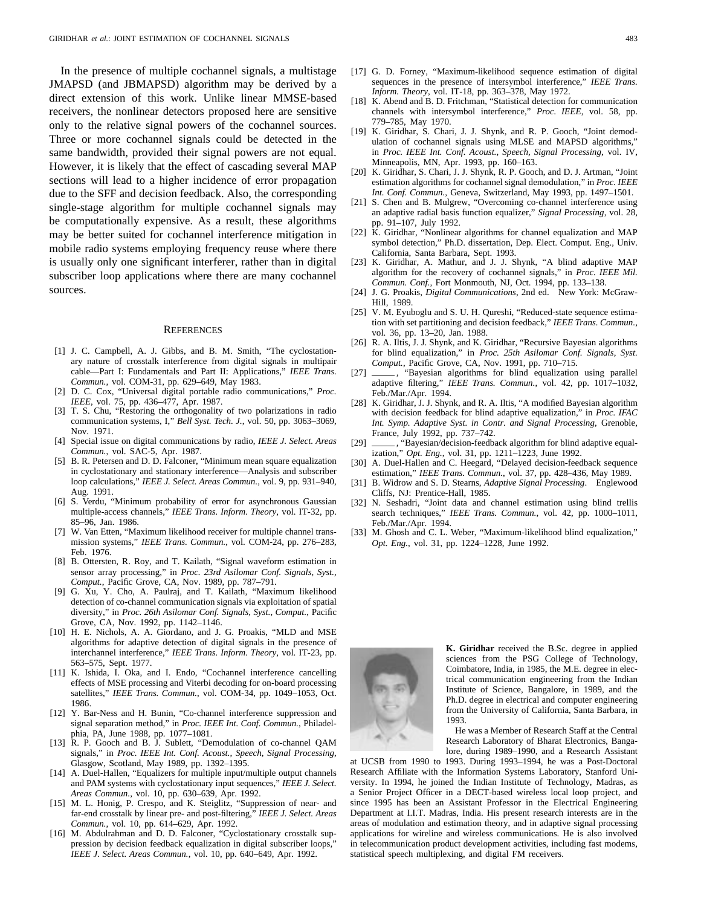In the presence of multiple cochannel signals, a multistage JMAPSD (and JBMAPSD) algorithm may be derived by a direct extension of this work. Unlike linear MMSE-based receivers, the nonlinear detectors proposed here are sensitive only to the relative signal powers of the cochannel sources. Three or more cochannel signals could be detected in the same bandwidth, provided their signal powers are not equal. However, it is likely that the effect of cascading several MAP sections will lead to a higher incidence of error propagation due to the SFF and decision feedback. Also, the corresponding single-stage algorithm for multiple cochannel signals may be computationally expensive. As a result, these algorithms may be better suited for cochannel interference mitigation in mobile radio systems employing frequency reuse where there is usually only one significant interferer, rather than in digital subscriber loop applications where there are many cochannel sources.

#### **REFERENCES**

- [1] J. C. Campbell, A. J. Gibbs, and B. M. Smith, "The cyclostationary nature of crosstalk interference from digital signals in multipair cable—Part I: Fundamentals and Part II: Applications," *IEEE Trans. Commun.*, vol. COM-31, pp. 629–649, May 1983.
- [2] D. C. Cox, "Universal digital portable radio communications," *Proc. IEEE*, vol. 75, pp. 436–477, Apr. 1987.
- [3] T. S. Chu, "Restoring the orthogonality of two polarizations in radio communication systems, I," *Bell Syst. Tech. J.*, vol. 50, pp. 3063–3069, Nov. 1971.
- [4] Special issue on digital communications by radio, *IEEE J. Select. Areas Commun.*, vol. SAC-5, Apr. 1987.
- [5] B. R. Petersen and D. D. Falconer, "Minimum mean square equalization in cyclostationary and stationary interference—Analysis and subscriber loop calculations," *IEEE J. Select. Areas Commun.*, vol. 9, pp. 931–940, Aug. 1991.
- [6] S. Verdu, "Minimum probability of error for asynchronous Gaussian multiple-access channels," *IEEE Trans. Inform. Theory*, vol. IT-32, pp. 85–96, Jan. 1986.
- W. Van Etten, "Maximum likelihood receiver for multiple channel transmission systems," *IEEE Trans. Commun.*, vol. COM-24, pp. 276–283, Feb. 1976.
- [8] B. Ottersten, R. Roy, and T. Kailath, "Signal waveform estimation in sensor array processing," in *Proc. 23rd Asilomar Conf. Signals, Syst., Comput.*, Pacific Grove, CA, Nov. 1989, pp. 787–791.
- [9] G. Xu, Y. Cho, A. Paulraj, and T. Kailath, "Maximum likelihood detection of co-channel communication signals via exploitation of spatial diversity," in *Proc. 26th Asilomar Conf. Signals, Syst., Comput.*, Pacific Grove, CA, Nov. 1992, pp. 1142–1146.
- [10] H. E. Nichols, A. A. Giordano, and J. G. Proakis, "MLD and MSE algorithms for adaptive detection of digital signals in the presence of interchannel interference," *IEEE Trans. Inform. Theory*, vol. IT-23, pp. 563–575, Sept. 1977.
- [11] K. Ishida, I. Oka, and I. Endo, "Cochannel interference cancelling effects of MSE processing and Viterbi decoding for on-board processing satellites," *IEEE Trans. Commun.*, vol. COM-34, pp. 1049–1053, Oct. 1986.
- [12] Y. Bar-Ness and H. Bunin, "Co-channel interference suppression and signal separation method," in *Proc. IEEE Int. Conf. Commun.*, Philadelphia, PA, June 1988, pp. 1077–1081.
- [13] R. P. Gooch and B. J. Sublett, "Demodulation of co-channel QAM signals," in *Proc. IEEE Int. Conf. Acoust., Speech, Signal Processing*, Glasgow, Scotland, May 1989, pp. 1392–1395.
- [14] A. Duel-Hallen, "Equalizers for multiple input/multiple output channels and PAM systems with cyclostationary input sequences," *IEEE J. Select. Areas Commun.*, vol. 10, pp. 630–639, Apr. 1992.
- [15] M. L. Honig, P. Crespo, and K. Steiglitz, "Suppression of near- and far-end crosstalk by linear pre- and post-filtering," *IEEE J. Select. Areas Commun.*, vol. 10, pp. 614–629, Apr. 1992.
- [16] M. Abdulrahman and D. D. Falconer, "Cyclostationary crosstalk suppression by decision feedback equalization in digital subscriber loops,' *IEEE J. Select. Areas Commun.*, vol. 10, pp. 640–649, Apr. 1992.
- [17] G. D. Forney, "Maximum-likelihood sequence estimation of digital sequences in the presence of intersymbol interference," *IEEE Trans. Inform. Theory*, vol. IT-18, pp. 363–378, May 1972.
- [18] K. Abend and B. D. Fritchman, "Statistical detection for communication channels with intersymbol interference," *Proc. IEEE*, vol. 58, pp. 779–785, May 1970.
- [19] K. Giridhar, S. Chari, J. J. Shynk, and R. P. Gooch, "Joint demodulation of cochannel signals using MLSE and MAPSD algorithms," in *Proc. IEEE Int. Conf. Acoust., Speech, Signal Processing*, vol. IV, Minneapolis, MN, Apr. 1993, pp. 160–163.
- [20] K. Giridhar, S. Chari, J. J. Shynk, R. P. Gooch, and D. J. Artman, "Joint estimation algorithms for cochannel signal demodulation," in *Proc. IEEE Int. Conf. Commun.*, Geneva, Switzerland, May 1993, pp. 1497–1501.
- [21] S. Chen and B. Mulgrew, "Overcoming co-channel interference using an adaptive radial basis function equalizer," *Signal Processing*, vol. 28, pp. 91–107, July 1992.
- [22] K. Giridhar, "Nonlinear algorithms for channel equalization and MAP symbol detection," Ph.D. dissertation, Dep. Elect. Comput. Eng., Univ. California, Santa Barbara, Sept. 1993.
- [23] K. Giridhar, A. Mathur, and J. J. Shynk, "A blind adaptive MAP algorithm for the recovery of cochannel signals," in *Proc. IEEE Mil. Commun. Conf.*, Fort Monmouth, NJ, Oct. 1994, pp. 133–138.
- [24] J. G. Proakis, *Digital Communications*, 2nd ed. New York: McGraw-Hill, 1989.
- [25] V. M. Eyuboglu and S. U. H. Qureshi, "Reduced-state sequence estimation with set partitioning and decision feedback," *IEEE Trans. Commun.*, vol. 36, pp. 13–20, Jan. 1988.
- [26] R. A. Iltis, J. J. Shynk, and K. Giridhar, "Recursive Bayesian algorithms for blind equalization," in *Proc. 25th Asilomar Conf. Signals, Syst. Comput.*, Pacific Grove, CA, Nov. 1991, pp. 710–715.
- [27]  $\_\_$ , "Bayesian algorithms for blind equalization using parallel adaptive filtering," *IEEE Trans. Commun.*, vol. 42, pp. 1017–1032, Feb./Mar./Apr. 1994.
- [28] K. Giridhar, J. J. Shynk, and R. A. Iltis, "A modified Bayesian algorithm with decision feedback for blind adaptive equalization," in *Proc. IFAC Int. Symp. Adaptive Syst. in Contr. and Signal Processing*, Grenoble, France, July 1992, pp. 737–742.
- [29] \_\_\_\_\_, "Bayesian/decision-feedback algorithm for blind adaptive equalization," *Opt. Eng.*, vol. 31, pp. 1211–1223, June 1992.
- [30] A. Duel-Hallen and C. Heegard, "Delayed decision-feedback sequence estimation," *IEEE Trans. Commun.*, vol. 37, pp. 428–436, May 1989.
- [31] B. Widrow and S. D. Stearns, *Adaptive Signal Processing*. Englewood Cliffs, NJ: Prentice-Hall, 1985.
- [32] N. Seshadri, "Joint data and channel estimation using blind trellis search techniques," *IEEE Trans. Commun.*, vol. 42, pp. 1000–1011, Feb./Mar./Apr. 1994.
- [33] M. Ghosh and C. L. Weber, "Maximum-likelihood blind equalization," *Opt. Eng.*, vol. 31, pp. 1224–1228, June 1992.



**K. Giridhar** received the B.Sc. degree in applied sciences from the PSG College of Technology, Coimbatore, India, in 1985, the M.E. degree in electrical communication engineering from the Indian Institute of Science, Bangalore, in 1989, and the Ph.D. degree in electrical and computer engineering from the University of California, Santa Barbara, in 1993.

He was a Member of Research Staff at the Central Research Laboratory of Bharat Electronics, Bangalore, during 1989–1990, and a Research Assistant

at UCSB from 1990 to 1993. During 1993–1994, he was a Post-Doctoral Research Affiliate with the Information Systems Laboratory, Stanford University. In 1994, he joined the Indian Institute of Technology, Madras, as a Senior Project Officer in a DECT-based wireless local loop project, and since 1995 has been an Assistant Professor in the Electrical Engineering Department at I.I.T. Madras, India. His present research interests are in the areas of modulation and estimation theory, and in adaptive signal processing applications for wireline and wireless communications. He is also involved in telecommunication product development activities, including fast modems, statistical speech multiplexing, and digital FM receivers.